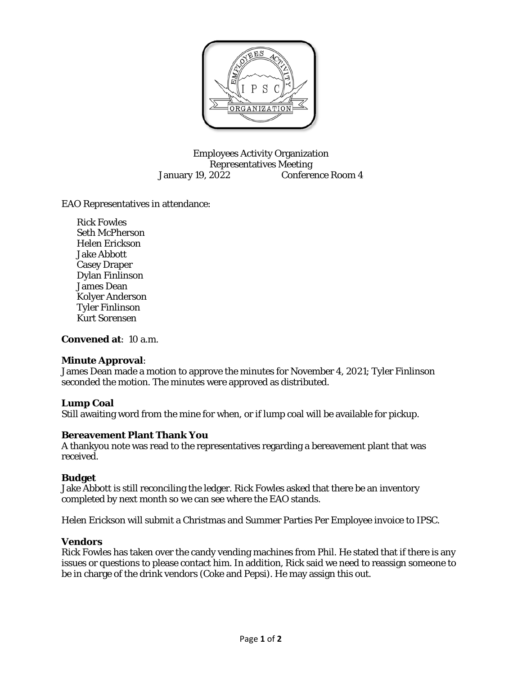

Employees Activity Organization Representatives Meeting January 19, 2022 Conference Room 4

EAO Representatives in attendance:

Rick Fowles Seth McPherson Helen Erickson Jake Abbott Casey Draper Dylan Finlinson James Dean Kolyer Anderson Tyler Finlinson Kurt Sorensen

**Convened at**: 10 a.m.

### **Minute Approval**:

James Dean made a motion to approve the minutes for November 4, 2021; Tyler Finlinson seconded the motion. The minutes were approved as distributed.

### **Lump Coal**

Still awaiting word from the mine for when, or if lump coal will be available for pickup.

#### **Bereavement Plant Thank You**

A thankyou note was read to the representatives regarding a bereavement plant that was received.

#### **Budget**

Jake Abbott is still reconciling the ledger. Rick Fowles asked that there be an inventory completed by next month so we can see where the EAO stands.

Helen Erickson will submit a Christmas and Summer Parties Per Employee invoice to IPSC.

### **Vendors**

Rick Fowles has taken over the candy vending machines from Phil. He stated that if there is any issues or questions to please contact him. In addition, Rick said we need to reassign someone to be in charge of the drink vendors (Coke and Pepsi). He may assign this out.